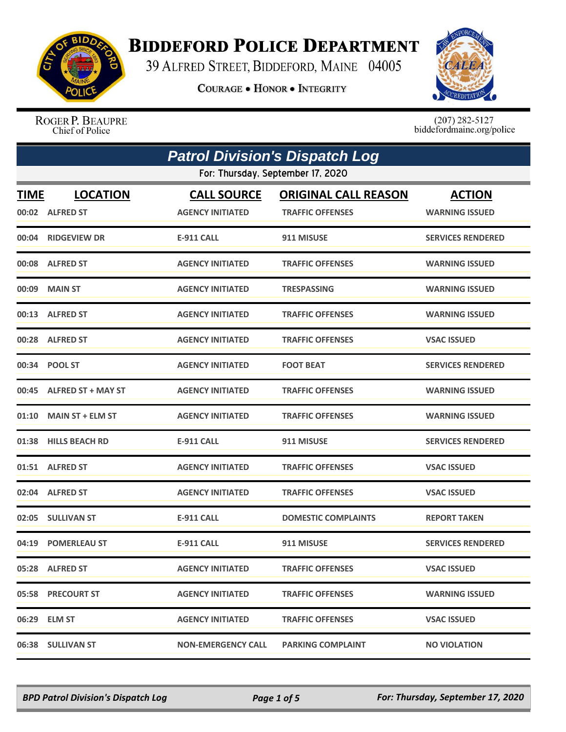

## **BIDDEFORD POLICE DEPARTMENT**

39 ALFRED STREET, BIDDEFORD, MAINE 04005

**COURAGE . HONOR . INTEGRITY** 



ROGER P. BEAUPRE Chief of Police

 $(207)$  282-5127<br>biddefordmaine.org/police

|             | <b>Patrol Division's Dispatch Log</b> |                                               |                                                        |                                        |  |
|-------------|---------------------------------------|-----------------------------------------------|--------------------------------------------------------|----------------------------------------|--|
|             |                                       | For: Thursday, September 17, 2020             |                                                        |                                        |  |
| <b>TIME</b> | <b>LOCATION</b><br>00:02 ALFRED ST    | <b>CALL SOURCE</b><br><b>AGENCY INITIATED</b> | <b>ORIGINAL CALL REASON</b><br><b>TRAFFIC OFFENSES</b> | <b>ACTION</b><br><b>WARNING ISSUED</b> |  |
|             | 00:04 RIDGEVIEW DR                    | <b>E-911 CALL</b>                             | 911 MISUSE                                             | <b>SERVICES RENDERED</b>               |  |
|             | 00:08 ALFRED ST                       | <b>AGENCY INITIATED</b>                       | <b>TRAFFIC OFFENSES</b>                                | <b>WARNING ISSUED</b>                  |  |
| 00:09       | <b>MAIN ST</b>                        | <b>AGENCY INITIATED</b>                       | <b>TRESPASSING</b>                                     | <b>WARNING ISSUED</b>                  |  |
|             | 00:13 ALFRED ST                       | <b>AGENCY INITIATED</b>                       | <b>TRAFFIC OFFENSES</b>                                | <b>WARNING ISSUED</b>                  |  |
|             | 00:28 ALFRED ST                       | <b>AGENCY INITIATED</b>                       | <b>TRAFFIC OFFENSES</b>                                | <b>VSAC ISSUED</b>                     |  |
|             | 00:34 POOL ST                         | <b>AGENCY INITIATED</b>                       | <b>FOOT BEAT</b>                                       | <b>SERVICES RENDERED</b>               |  |
|             | 00:45 ALFRED ST + MAY ST              | <b>AGENCY INITIATED</b>                       | <b>TRAFFIC OFFENSES</b>                                | <b>WARNING ISSUED</b>                  |  |
|             | 01:10 MAIN ST + ELM ST                | <b>AGENCY INITIATED</b>                       | <b>TRAFFIC OFFENSES</b>                                | <b>WARNING ISSUED</b>                  |  |
|             | 01:38 HILLS BEACH RD                  | <b>E-911 CALL</b>                             | 911 MISUSE                                             | <b>SERVICES RENDERED</b>               |  |
|             | 01:51 ALFRED ST                       | <b>AGENCY INITIATED</b>                       | <b>TRAFFIC OFFENSES</b>                                | <b>VSAC ISSUED</b>                     |  |
|             | 02:04 ALFRED ST                       | <b>AGENCY INITIATED</b>                       | <b>TRAFFIC OFFENSES</b>                                | <b>VSAC ISSUED</b>                     |  |
| 02:05       | <b>SULLIVAN ST</b>                    | <b>E-911 CALL</b>                             | <b>DOMESTIC COMPLAINTS</b>                             | <b>REPORT TAKEN</b>                    |  |
|             | 04:19 POMERLEAU ST                    | <b>E-911 CALL</b>                             | 911 MISUSE                                             | <b>SERVICES RENDERED</b>               |  |
|             | 05:28 ALFRED ST                       | <b>AGENCY INITIATED</b>                       | <b>TRAFFIC OFFENSES</b>                                | <b>VSAC ISSUED</b>                     |  |
|             | 05:58 PRECOURT ST                     | <b>AGENCY INITIATED</b>                       | <b>TRAFFIC OFFENSES</b>                                | <b>WARNING ISSUED</b>                  |  |
|             | 06:29 ELM ST                          | <b>AGENCY INITIATED</b>                       | <b>TRAFFIC OFFENSES</b>                                | <b>VSAC ISSUED</b>                     |  |
|             | 06:38 SULLIVAN ST                     | <b>NON-EMERGENCY CALL</b>                     | <b>PARKING COMPLAINT</b>                               | <b>NO VIOLATION</b>                    |  |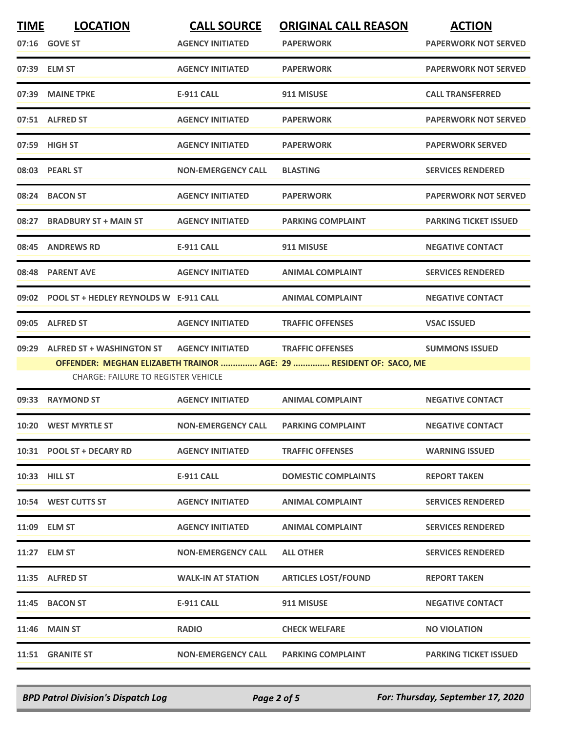| <b>TIME</b> | <b>LOCATION</b>                                                                | <b>CALL SOURCE</b>        | <b>ORIGINAL CALL REASON</b>                                                                   | <b>ACTION</b>                |
|-------------|--------------------------------------------------------------------------------|---------------------------|-----------------------------------------------------------------------------------------------|------------------------------|
|             | 07:16 GOVE ST                                                                  | <b>AGENCY INITIATED</b>   | <b>PAPERWORK</b>                                                                              | <b>PAPERWORK NOT SERVED</b>  |
|             | 07:39 ELM ST                                                                   | <b>AGENCY INITIATED</b>   | <b>PAPERWORK</b>                                                                              | <b>PAPERWORK NOT SERVED</b>  |
|             | 07:39 MAINE TPKE                                                               | <b>E-911 CALL</b>         | 911 MISUSE                                                                                    | <b>CALL TRANSFERRED</b>      |
|             | 07:51 ALFRED ST                                                                | <b>AGENCY INITIATED</b>   | <b>PAPERWORK</b>                                                                              | <b>PAPERWORK NOT SERVED</b>  |
|             | 07:59 HIGH ST                                                                  | <b>AGENCY INITIATED</b>   | <b>PAPERWORK</b>                                                                              | <b>PAPERWORK SERVED</b>      |
|             | 08:03 PEARL ST                                                                 | <b>NON-EMERGENCY CALL</b> | <b>BLASTING</b>                                                                               | <b>SERVICES RENDERED</b>     |
|             | 08:24 BACON ST                                                                 | <b>AGENCY INITIATED</b>   | <b>PAPERWORK</b>                                                                              | <b>PAPERWORK NOT SERVED</b>  |
|             | 08:27 BRADBURY ST + MAIN ST                                                    | <b>AGENCY INITIATED</b>   | <b>PARKING COMPLAINT</b>                                                                      | <b>PARKING TICKET ISSUED</b> |
|             | 08:45 ANDREWS RD                                                               | <b>E-911 CALL</b>         | 911 MISUSE                                                                                    | <b>NEGATIVE CONTACT</b>      |
|             | 08:48 PARENT AVE                                                               | <b>AGENCY INITIATED</b>   | <b>ANIMAL COMPLAINT</b>                                                                       | <b>SERVICES RENDERED</b>     |
|             | 09:02 POOL ST + HEDLEY REYNOLDS W E-911 CALL                                   |                           | <b>ANIMAL COMPLAINT</b>                                                                       | <b>NEGATIVE CONTACT</b>      |
|             | 09:05 ALFRED ST                                                                | <b>AGENCY INITIATED</b>   | <b>TRAFFIC OFFENSES</b>                                                                       | <b>VSAC ISSUED</b>           |
| 09:29       | <b>ALFRED ST + WASHINGTON ST</b><br><b>CHARGE: FAILURE TO REGISTER VEHICLE</b> | <b>AGENCY INITIATED</b>   | <b>TRAFFIC OFFENSES</b><br>OFFENDER: MEGHAN ELIZABETH TRAINOR  AGE: 29  RESIDENT OF: SACO, ME | <b>SUMMONS ISSUED</b>        |
|             | 09:33 RAYMOND ST                                                               | <b>AGENCY INITIATED</b>   | <b>ANIMAL COMPLAINT</b>                                                                       | <b>NEGATIVE CONTACT</b>      |
|             | 10:20 WEST MYRTLE ST                                                           | <b>NON-EMERGENCY CALL</b> | <b>PARKING COMPLAINT</b>                                                                      | <b>NEGATIVE CONTACT</b>      |
|             | 10:31 POOL ST + DECARY RD                                                      | <b>AGENCY INITIATED</b>   | <b>TRAFFIC OFFENSES</b>                                                                       | <b>WARNING ISSUED</b>        |
|             | 10:33 HILL ST                                                                  | <b>E-911 CALL</b>         | <b>DOMESTIC COMPLAINTS</b>                                                                    | <b>REPORT TAKEN</b>          |
|             | 10:54 WEST CUTTS ST                                                            | <b>AGENCY INITIATED</b>   | <b>ANIMAL COMPLAINT</b>                                                                       | <b>SERVICES RENDERED</b>     |
|             | 11:09 ELM ST                                                                   | <b>AGENCY INITIATED</b>   | <b>ANIMAL COMPLAINT</b>                                                                       | <b>SERVICES RENDERED</b>     |
|             | 11:27 ELM ST                                                                   | <b>NON-EMERGENCY CALL</b> | <b>ALL OTHER</b>                                                                              | <b>SERVICES RENDERED</b>     |
|             | 11:35 ALFRED ST                                                                | <b>WALK-IN AT STATION</b> | <b>ARTICLES LOST/FOUND</b>                                                                    | <b>REPORT TAKEN</b>          |
|             | 11:45 BACON ST                                                                 | <b>E-911 CALL</b>         | 911 MISUSE                                                                                    | <b>NEGATIVE CONTACT</b>      |
|             | <b>11:46 MAIN ST</b>                                                           | <b>RADIO</b>              | <b>CHECK WELFARE</b>                                                                          | <b>NO VIOLATION</b>          |
|             | 11:51 GRANITE ST                                                               | <b>NON-EMERGENCY CALL</b> | <b>PARKING COMPLAINT</b>                                                                      | <b>PARKING TICKET ISSUED</b> |

*BPD Patrol Division's Dispatch Log Page 2 of 5 For: Thursday, September 17, 2020*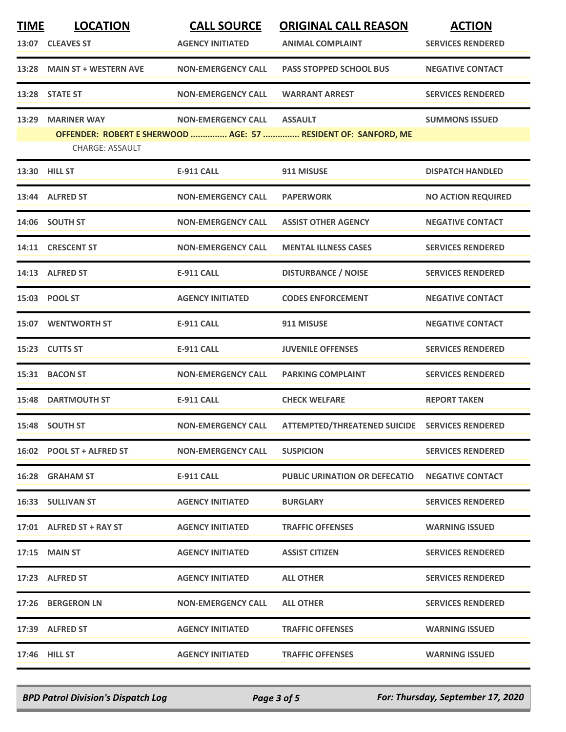| <b>TIME</b> | <b>LOCATION</b><br>13:07 CLEAVES ST | <b>CALL SOURCE</b><br><b>AGENCY INITIATED</b> | <b>ORIGINAL CALL REASON</b><br><b>ANIMAL COMPLAINT</b>         | <b>ACTION</b><br><b>SERVICES RENDERED</b> |
|-------------|-------------------------------------|-----------------------------------------------|----------------------------------------------------------------|-------------------------------------------|
|             | 13:28 MAIN ST + WESTERN AVE         | <b>NON-EMERGENCY CALL</b>                     | <b>PASS STOPPED SCHOOL BUS</b>                                 | <b>NEGATIVE CONTACT</b>                   |
|             | 13:28 STATE ST                      | <b>NON-EMERGENCY CALL</b>                     | <b>WARRANT ARREST</b>                                          | <b>SERVICES RENDERED</b>                  |
| 13:29       | <b>MARINER WAY</b>                  | <b>NON-EMERGENCY CALL</b>                     | <b>ASSAULT</b>                                                 | <b>SUMMONS ISSUED</b>                     |
|             | <b>CHARGE: ASSAULT</b>              |                                               | OFFENDER: ROBERT E SHERWOOD  AGE: 57  RESIDENT OF: SANFORD, ME |                                           |
|             | 13:30 HILL ST                       | E-911 CALL                                    | 911 MISUSE                                                     | <b>DISPATCH HANDLED</b>                   |
|             | 13:44 ALFRED ST                     | <b>NON-EMERGENCY CALL</b>                     | <b>PAPERWORK</b>                                               | <b>NO ACTION REQUIRED</b>                 |
|             | 14:06 SOUTH ST                      | <b>NON-EMERGENCY CALL</b>                     | <b>ASSIST OTHER AGENCY</b>                                     | <b>NEGATIVE CONTACT</b>                   |
|             | 14:11 CRESCENT ST                   | <b>NON-EMERGENCY CALL</b>                     | <b>MENTAL ILLNESS CASES</b>                                    | <b>SERVICES RENDERED</b>                  |
|             | 14:13 ALFRED ST                     | <b>E-911 CALL</b>                             | <b>DISTURBANCE / NOISE</b>                                     | <b>SERVICES RENDERED</b>                  |
|             | 15:03 POOL ST                       | <b>AGENCY INITIATED</b>                       | <b>CODES ENFORCEMENT</b>                                       | <b>NEGATIVE CONTACT</b>                   |
|             | <b>15:07 WENTWORTH ST</b>           | <b>E-911 CALL</b>                             | 911 MISUSE                                                     | <b>NEGATIVE CONTACT</b>                   |
|             | 15:23 CUTTS ST                      | <b>E-911 CALL</b>                             | <b>JUVENILE OFFENSES</b>                                       | <b>SERVICES RENDERED</b>                  |
|             | 15:31 BACON ST                      | <b>NON-EMERGENCY CALL</b>                     | <b>PARKING COMPLAINT</b>                                       | <b>SERVICES RENDERED</b>                  |
|             | <b>15:48 DARTMOUTH ST</b>           | <b>E-911 CALL</b>                             | <b>CHECK WELFARE</b>                                           | <b>REPORT TAKEN</b>                       |
|             | 15:48 SOUTH ST                      | <b>NON-EMERGENCY CALL</b>                     | ATTEMPTED/THREATENED SUICIDE SERVICES RENDERED                 |                                           |
|             | 16:02 POOL ST + ALFRED ST           | <b>NON-EMERGENCY CALL</b>                     | <b>SUSPICION</b>                                               | <b>SERVICES RENDERED</b>                  |
|             | 16:28 GRAHAM ST                     | <b>E-911 CALL</b>                             | <b>PUBLIC URINATION OR DEFECATIO</b>                           | <b>NEGATIVE CONTACT</b>                   |
|             | <b>16:33 SULLIVAN ST</b>            | <b>AGENCY INITIATED</b>                       | <b>BURGLARY</b>                                                | <b>SERVICES RENDERED</b>                  |
|             | 17:01 ALFRED ST + RAY ST            | <b>AGENCY INITIATED</b>                       | <b>TRAFFIC OFFENSES</b>                                        | <b>WARNING ISSUED</b>                     |
|             | 17:15 MAIN ST                       | <b>AGENCY INITIATED</b>                       | <b>ASSIST CITIZEN</b>                                          | <b>SERVICES RENDERED</b>                  |
|             | 17:23 ALFRED ST                     | <b>AGENCY INITIATED</b>                       | <b>ALL OTHER</b>                                               | <b>SERVICES RENDERED</b>                  |
|             | 17:26 BERGERON LN                   | <b>NON-EMERGENCY CALL</b>                     | <b>ALL OTHER</b>                                               | <b>SERVICES RENDERED</b>                  |
|             | 17:39 ALFRED ST                     | <b>AGENCY INITIATED</b>                       | <b>TRAFFIC OFFENSES</b>                                        | <b>WARNING ISSUED</b>                     |
|             | 17:46 HILL ST                       | <b>AGENCY INITIATED</b>                       | <b>TRAFFIC OFFENSES</b>                                        | <b>WARNING ISSUED</b>                     |

*BPD Patrol Division's Dispatch Log Page 3 of 5 For: Thursday, September 17, 2020*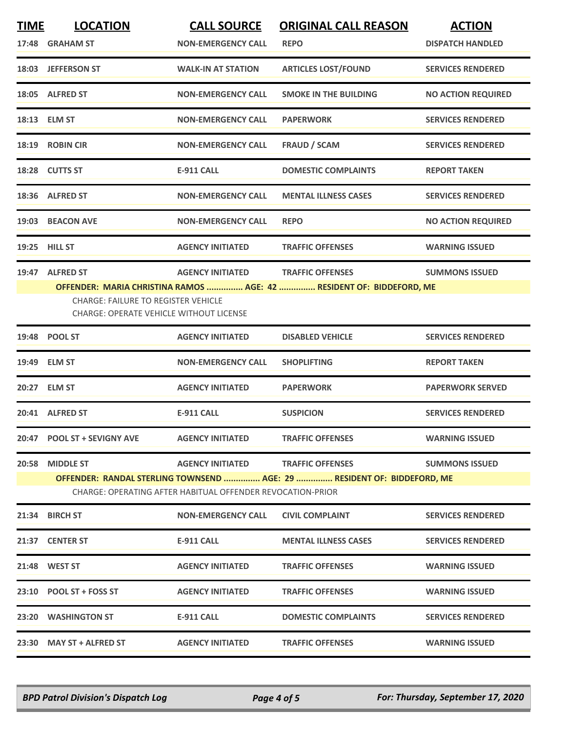| <b>TIME</b>                                                | <b>LOCATION</b>                                                                              | <b>CALL SOURCE</b>        | <b>ORIGINAL CALL REASON</b>                                             | <b>ACTION</b>             |
|------------------------------------------------------------|----------------------------------------------------------------------------------------------|---------------------------|-------------------------------------------------------------------------|---------------------------|
|                                                            | 17:48 GRAHAM ST                                                                              | <b>NON-EMERGENCY CALL</b> | <b>REPO</b>                                                             | <b>DISPATCH HANDLED</b>   |
|                                                            | 18:03 JEFFERSON ST                                                                           | <b>WALK-IN AT STATION</b> | <b>ARTICLES LOST/FOUND</b>                                              | <b>SERVICES RENDERED</b>  |
|                                                            | 18:05 ALFRED ST                                                                              | <b>NON-EMERGENCY CALL</b> | <b>SMOKE IN THE BUILDING</b>                                            | <b>NO ACTION REQUIRED</b> |
|                                                            | 18:13 ELM ST                                                                                 | <b>NON-EMERGENCY CALL</b> | <b>PAPERWORK</b>                                                        | <b>SERVICES RENDERED</b>  |
|                                                            | 18:19 ROBIN CIR                                                                              | <b>NON-EMERGENCY CALL</b> | <b>FRAUD / SCAM</b>                                                     | <b>SERVICES RENDERED</b>  |
|                                                            | 18:28 CUTTS ST                                                                               | <b>E-911 CALL</b>         | <b>DOMESTIC COMPLAINTS</b>                                              | <b>REPORT TAKEN</b>       |
|                                                            | 18:36 ALFRED ST                                                                              | <b>NON-EMERGENCY CALL</b> | <b>MENTAL ILLNESS CASES</b>                                             | <b>SERVICES RENDERED</b>  |
|                                                            | 19:03 BEACON AVE                                                                             | <b>NON-EMERGENCY CALL</b> | <b>REPO</b>                                                             | <b>NO ACTION REQUIRED</b> |
|                                                            | 19:25 HILL ST                                                                                | <b>AGENCY INITIATED</b>   | <b>TRAFFIC OFFENSES</b>                                                 | <b>WARNING ISSUED</b>     |
|                                                            | 19:47 ALFRED ST                                                                              | <b>AGENCY INITIATED</b>   | <b>TRAFFIC OFFENSES</b>                                                 | <b>SUMMONS ISSUED</b>     |
|                                                            |                                                                                              |                           | OFFENDER: MARIA CHRISTINA RAMOS  AGE: 42  RESIDENT OF: BIDDEFORD, ME    |                           |
|                                                            | <b>CHARGE: FAILURE TO REGISTER VEHICLE</b><br><b>CHARGE: OPERATE VEHICLE WITHOUT LICENSE</b> |                           |                                                                         |                           |
|                                                            | 19:48 POOL ST                                                                                | <b>AGENCY INITIATED</b>   | <b>DISABLED VEHICLE</b>                                                 | <b>SERVICES RENDERED</b>  |
|                                                            | 19:49 ELM ST                                                                                 | <b>NON-EMERGENCY CALL</b> | <b>SHOPLIFTING</b>                                                      | <b>REPORT TAKEN</b>       |
|                                                            | 20:27 ELM ST                                                                                 | <b>AGENCY INITIATED</b>   | <b>PAPERWORK</b>                                                        | <b>PAPERWORK SERVED</b>   |
|                                                            | 20:41 ALFRED ST                                                                              | <b>E-911 CALL</b>         | <b>SUSPICION</b>                                                        | <b>SERVICES RENDERED</b>  |
|                                                            | 20:47 POOL ST + SEVIGNY AVE                                                                  | <b>AGENCY INITIATED</b>   | <b>TRAFFIC OFFENSES</b>                                                 | <b>WARNING ISSUED</b>     |
| 20:58                                                      | <b>MIDDLE ST</b>                                                                             | <b>AGENCY INITIATED</b>   | <b>TRAFFIC OFFENSES</b>                                                 | <b>SUMMONS ISSUED</b>     |
|                                                            |                                                                                              |                           | OFFENDER: RANDAL STERLING TOWNSEND  AGE: 29  RESIDENT OF: BIDDEFORD, ME |                           |
| CHARGE: OPERATING AFTER HABITUAL OFFENDER REVOCATION-PRIOR |                                                                                              |                           |                                                                         |                           |
|                                                            | 21:34 BIRCH ST                                                                               | <b>NON-EMERGENCY CALL</b> | <b>CIVIL COMPLAINT</b>                                                  | <b>SERVICES RENDERED</b>  |
|                                                            | 21:37 CENTER ST                                                                              | <b>E-911 CALL</b>         | <b>MENTAL ILLNESS CASES</b>                                             | <b>SERVICES RENDERED</b>  |
|                                                            | 21:48 WEST ST                                                                                | <b>AGENCY INITIATED</b>   | <b>TRAFFIC OFFENSES</b>                                                 | <b>WARNING ISSUED</b>     |
|                                                            | 23:10 POOL ST + FOSS ST                                                                      | <b>AGENCY INITIATED</b>   | <b>TRAFFIC OFFENSES</b>                                                 | <b>WARNING ISSUED</b>     |
|                                                            | 23:20 WASHINGTON ST                                                                          | <b>E-911 CALL</b>         | <b>DOMESTIC COMPLAINTS</b>                                              | <b>SERVICES RENDERED</b>  |
|                                                            | 23:30 MAY ST + ALFRED ST                                                                     | <b>AGENCY INITIATED</b>   | <b>TRAFFIC OFFENSES</b>                                                 | <b>WARNING ISSUED</b>     |
|                                                            |                                                                                              |                           |                                                                         |                           |

*BPD Patrol Division's Dispatch Log Page 4 of 5 For: Thursday, September 17, 2020*